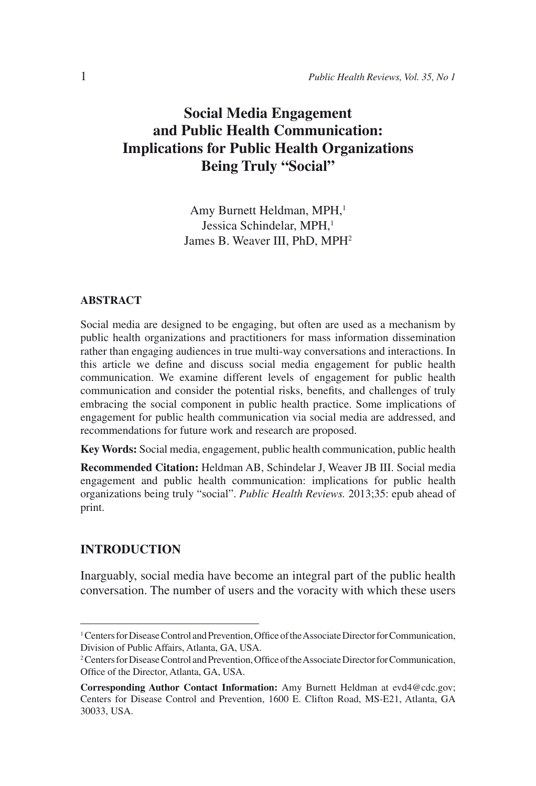# **Social Media Engagement and Public Health Communication: Implications for Public Health Organizations Being Truly "Social"**

Amy Burnett Heldman, MPH,<sup>1</sup> Jessica Schindelar, MPH.<sup>1</sup> James B. Weaver III, PhD, MPH2

#### **ABSTRACT**

Social media are designed to be engaging, but often are used as a mechanism by public health organizations and practitioners for mass information dissemination rather than engaging audiences in true multi-way conversations and interactions. In this article we define and discuss social media engagement for public health communication. We examine different levels of engagement for public health communication and consider the potential risks, benefits, and challenges of truly embracing the social component in public health practice. Some implications of engagement for public health communication via social media are addressed, and recommendations for future work and research are proposed.

**Key Words:** Social media, engagement, public health communication, public health

**Recommended Citation:** Heldman AB, Schindelar J, Weaver JB III. Social media engagement and public health communication: implications for public health organizations being truly "social". *Public Health Reviews.* 2013;35: epub ahead of print.

#### **INTRODUCTION**

Inarguably, social media have become an integral part of the public health conversation. The number of users and the voracity with which these users

<sup>1</sup> Centers for Disease Control and Prevention, Office of the Associate Director for Communication, Division of Public Affairs, Atlanta, GA, USA.

<sup>2</sup> Centers for Disease Control and Prevention, Office of the Associate Director for Communication, Office of the Director, Atlanta, GA, USA.

**Corresponding Author Contact Information:** Amy Burnett Heldman at evd4@cdc.gov; Centers for Disease Control and Prevention, 1600 E. Clifton Road, MS-E21, Atlanta, GA 30033, USA.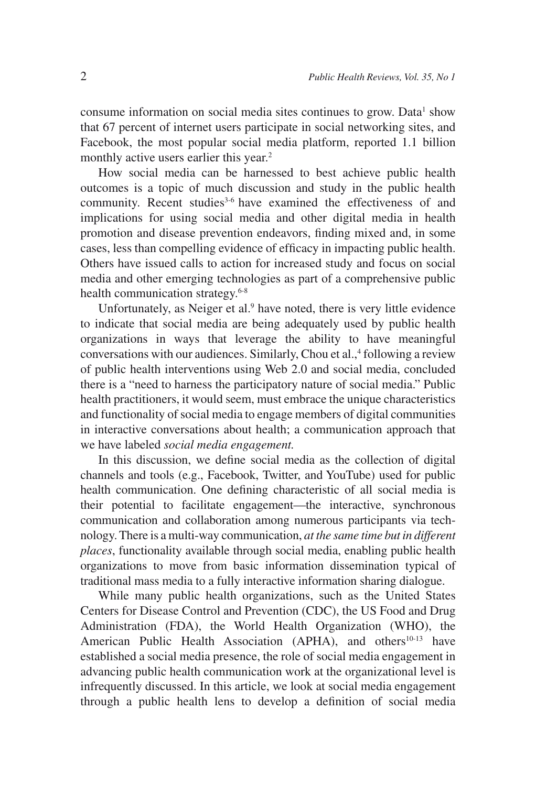consume information on social media sites continues to grow. Data<sup>1</sup> show that 67 percent of internet users participate in social networking sites, and Facebook, the most popular social media platform, reported 1.1 billion monthly active users earlier this year.<sup>2</sup>

How social media can be harnessed to best achieve public health outcomes is a topic of much discussion and study in the public health community. Recent studies<sup>3-6</sup> have examined the effectiveness of and implications for using social media and other digital media in health promotion and disease prevention endeavors, finding mixed and, in some cases, less than compelling evidence of efficacy in impacting public health. Others have issued calls to action for increased study and focus on social media and other emerging technologies as part of a comprehensive public health communication strategy.<sup>6-8</sup>

Unfortunately, as Neiger et al.<sup>9</sup> have noted, there is very little evidence to indicate that social media are being adequately used by public health organizations in ways that leverage the ability to have meaningful conversations with our audiences. Similarly, Chou et al.,<sup>4</sup> following a review of public health interventions using Web 2.0 and social media, concluded there is a "need to harness the participatory nature of social media." Public health practitioners, it would seem, must embrace the unique characteristics and functionality of social media to engage members of digital communities in interactive conversations about health; a communication approach that we have labeled *social media engagement.*

In this discussion, we define social media as the collection of digital channels and tools (e.g., Facebook, Twitter, and YouTube) used for public health communication. One defining characteristic of all social media is their potential to facilitate engagement—the interactive, synchronous communication and collaboration among numerous participants via technology. There is a multi-way communication, *at the same time but in different places*, functionality available through social media, enabling public health organizations to move from basic information dissemination typical of traditional mass media to a fully interactive information sharing dialogue.

While many public health organizations, such as the United States Centers for Disease Control and Prevention (CDC), the US Food and Drug Administration (FDA), the World Health Organization (WHO), the American Public Health Association (APHA), and others<sup>10-13</sup> have established a social media presence, the role of social media engagement in advancing public health communication work at the organizational level is infrequently discussed. In this article, we look at social media engagement through a public health lens to develop a definition of social media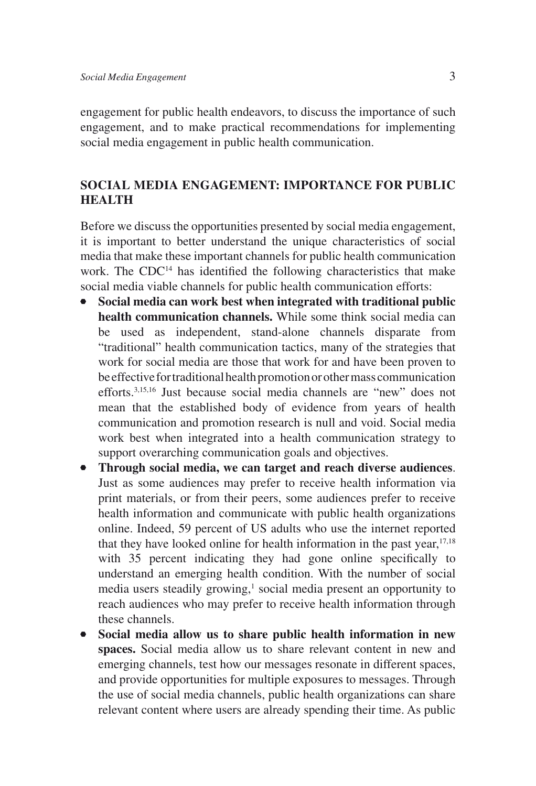engagement for public health endeavors, to discuss the importance of such engagement, and to make practical recommendations for implementing social media engagement in public health communication.

## **SOCIAL MEDIA ENGAGEMENT: IMPORTANCE FOR PUBLIC HEALTH**

Before we discuss the opportunities presented by social media engagement, it is important to better understand the unique characteristics of social media that make these important channels for public health communication work. The  $CDC<sup>14</sup>$  has identified the following characteristics that make social media viable channels for public health communication efforts:

- **Social media can work best when integrated with traditional public health communication channels.** While some think social media can be used as independent, stand-alone channels disparate from "traditional" health communication tactics, many of the strategies that work for social media are those that work for and have been proven to be effective for traditional health promotion or other mass communication efforts.3,15,16 Just because social media channels are "new" does not mean that the established body of evidence from years of health communication and promotion research is null and void. Social media work best when integrated into a health communication strategy to support overarching communication goals and objectives.
- **Through social media, we can target and reach diverse audiences**. Just as some audiences may prefer to receive health information via print materials, or from their peers, some audiences prefer to receive health information and communicate with public health organizations online. Indeed, 59 percent of US adults who use the internet reported that they have looked online for health information in the past year, $17,18$ with 35 percent indicating they had gone online specifically to understand an emerging health condition. With the number of social media users steadily growing,<sup>1</sup> social media present an opportunity to reach audiences who may prefer to receive health information through these channels.
- **Social media allow us to share public health information in new spaces.** Social media allow us to share relevant content in new and emerging channels, test how our messages resonate in different spaces, and provide opportunities for multiple exposures to messages. Through the use of social media channels, public health organizations can share relevant content where users are already spending their time. As public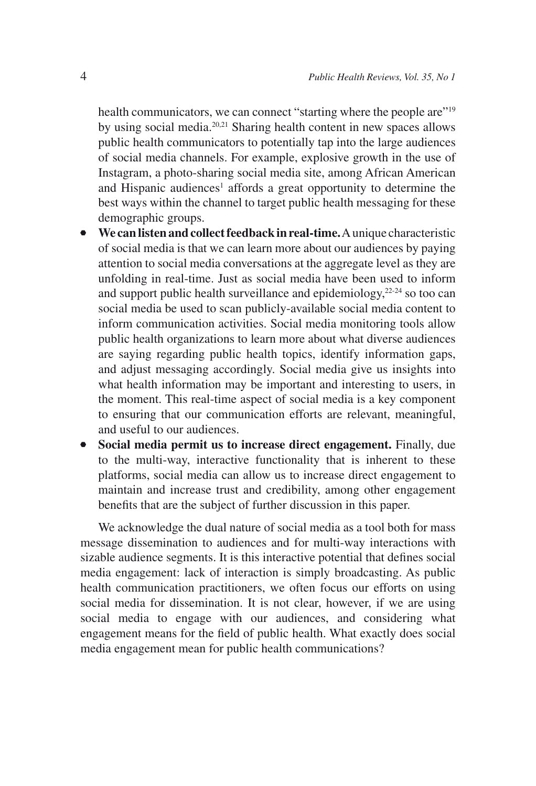health communicators, we can connect "starting where the people are"<sup>19</sup> by using social media.20,21 Sharing health content in new spaces allows public health communicators to potentially tap into the large audiences of social media channels. For example, explosive growth in the use of Instagram, a photo-sharing social media site, among African American and Hispanic audiences<sup>1</sup> affords a great opportunity to determine the best ways within the channel to target public health messaging for these demographic groups.

- **We can listen and collect feedback in real-time.** A unique characteristic of social media is that we can learn more about our audiences by paying attention to social media conversations at the aggregate level as they are unfolding in real-time. Just as social media have been used to inform and support public health surveillance and epidemiology, $2^{2.24}$  so too can social media be used to scan publicly-available social media content to inform communication activities. Social media monitoring tools allow public health organizations to learn more about what diverse audiences are saying regarding public health topics, identify information gaps, and adjust messaging accordingly. Social media give us insights into what health information may be important and interesting to users, in the moment. This real-time aspect of social media is a key component to ensuring that our communication efforts are relevant, meaningful, and useful to our audiences.
- **•** Social media permit us to increase direct engagement. Finally, due to the multi-way, interactive functionality that is inherent to these platforms, social media can allow us to increase direct engagement to maintain and increase trust and credibility, among other engagement benefits that are the subject of further discussion in this paper.

We acknowledge the dual nature of social media as a tool both for mass message dissemination to audiences and for multi-way interactions with sizable audience segments. It is this interactive potential that defines social media engagement: lack of interaction is simply broadcasting. As public health communication practitioners, we often focus our efforts on using social media for dissemination. It is not clear, however, if we are using social media to engage with our audiences, and considering what engagement means for the field of public health. What exactly does social media engagement mean for public health communications?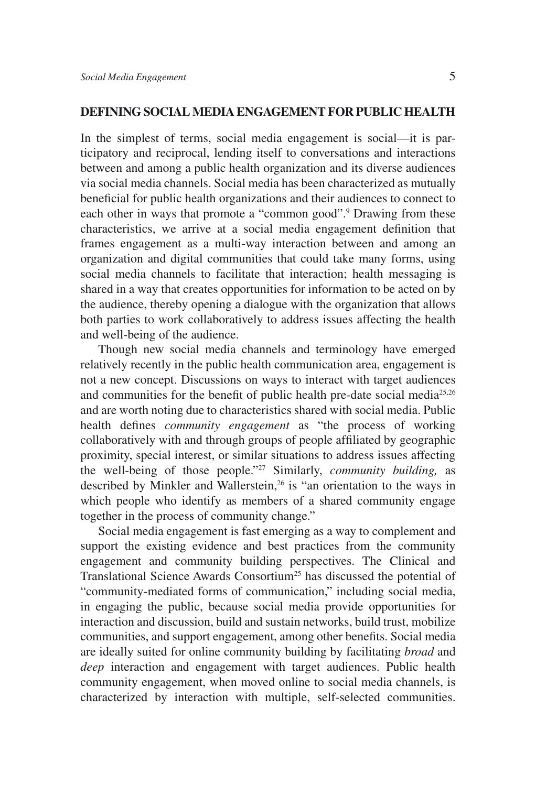#### **DEFINING SOCIAL MEDIA ENGAGEMENT FOR PUBLIC HEALTH**

In the simplest of terms, social media engagement is social—it is participatory and reciprocal, lending itself to conversations and interactions between and among a public health organization and its diverse audiences via social media channels. Social media has been characterized as mutually beneficial for public health organizations and their audiences to connect to each other in ways that promote a "common good".<sup>9</sup> Drawing from these characteristics, we arrive at a social media engagement definition that frames engagement as a multi-way interaction between and among an organization and digital communities that could take many forms, using social media channels to facilitate that interaction; health messaging is shared in a way that creates opportunities for information to be acted on by the audience, thereby opening a dialogue with the organization that allows both parties to work collaboratively to address issues affecting the health and well-being of the audience.

Though new social media channels and terminology have emerged relatively recently in the public health communication area, engagement is not a new concept. Discussions on ways to interact with target audiences and communities for the benefit of public health pre-date social media<sup>25,26</sup> and are worth noting due to characteristics shared with social media. Public health defines *community engagement* as "the process of working collaboratively with and through groups of people affiliated by geographic proximity, special interest, or similar situations to address issues affecting the well-being of those people."27 Similarly, *community building,* as described by Minkler and Wallerstein,<sup>26</sup> is "an orientation to the ways in which people who identify as members of a shared community engage together in the process of community change."

Social media engagement is fast emerging as a way to complement and support the existing evidence and best practices from the community engagement and community building perspectives. The Clinical and Translational Science Awards Consortium<sup>25</sup> has discussed the potential of "community-mediated forms of communication," including social media, in engaging the public, because social media provide opportunities for interaction and discussion, build and sustain networks, build trust, mobilize communities, and support engagement, among other benefits. Social media are ideally suited for online community building by facilitating *broad* and *deep* interaction and engagement with target audiences. Public health community engagement, when moved online to social media channels, is characterized by interaction with multiple, self-selected communities.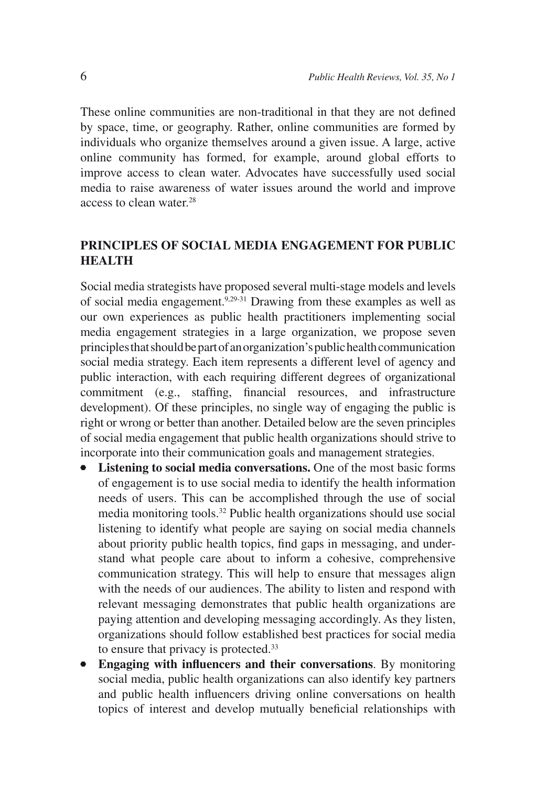These online communities are non-traditional in that they are not defined by space, time, or geography. Rather, online communities are formed by individuals who organize themselves around a given issue. A large, active online community has formed, for example, around global efforts to improve access to clean water. Advocates have successfully used social media to raise awareness of water issues around the world and improve access to clean water.28

### **PRINCIPLES OF SOCIAL MEDIA ENGAGEMENT FOR PUBLIC HEALTH**

Social media strategists have proposed several multi-stage models and levels of social media engagement.9,29-31 Drawing from these examples as well as our own experiences as public health practitioners implementing social media engagement strategies in a large organization, we propose seven principles that should be part of an organization's public health communication social media strategy. Each item represents a different level of agency and public interaction, with each requiring different degrees of organizational commitment (e.g., staffing, financial resources, and infrastructure development). Of these principles, no single way of engaging the public is right or wrong or better than another. Detailed below are the seven principles of social media engagement that public health organizations should strive to incorporate into their communication goals and management strategies.

- **Listening to social media conversations.** One of the most basic forms of engagement is to use social media to identify the health information needs of users. This can be accomplished through the use of social media monitoring tools.32 Public health organizations should use social listening to identify what people are saying on social media channels about priority public health topics, find gaps in messaging, and understand what people care about to inform a cohesive, comprehensive communication strategy. This will help to ensure that messages align with the needs of our audiences. The ability to listen and respond with relevant messaging demonstrates that public health organizations are paying attention and developing messaging accordingly. As they listen, organizations should follow established best practices for social media to ensure that privacy is protected.<sup>33</sup>
- **Engaging with influencers and their conversations**. By monitoring social media, public health organizations can also identify key partners and public health influencers driving online conversations on health topics of interest and develop mutually beneficial relationships with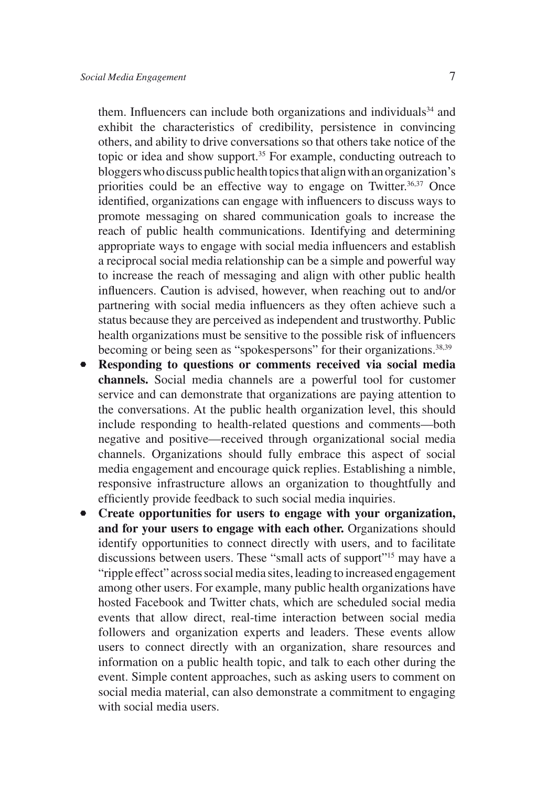them. Influencers can include both organizations and individuals $34$  and exhibit the characteristics of credibility, persistence in convincing others, and ability to drive conversations so that others take notice of the topic or idea and show support.<sup>35</sup> For example, conducting outreach to bloggers who discuss public health topics that align with an organization's priorities could be an effective way to engage on Twitter.<sup>36,37</sup> Once identified, organizations can engage with influencers to discuss ways to promote messaging on shared communication goals to increase the reach of public health communications. Identifying and determining appropriate ways to engage with social media influencers and establish a reciprocal social media relationship can be a simple and powerful way to increase the reach of messaging and align with other public health influencers. Caution is advised, however, when reaching out to and/or partnering with social media influencers as they often achieve such a status because they are perceived as independent and trustworthy. Public health organizations must be sensitive to the possible risk of influencers becoming or being seen as "spokespersons" for their organizations.<sup>38,39</sup>

- **Responding to questions or comments received via social media channels.** Social media channels are a powerful tool for customer service and can demonstrate that organizations are paying attention to the conversations. At the public health organization level, this should include responding to health-related questions and comments—both negative and positive—received through organizational social media channels. Organizations should fully embrace this aspect of social media engagement and encourage quick replies. Establishing a nimble, responsive infrastructure allows an organization to thoughtfully and efficiently provide feedback to such social media inquiries.
- **Create opportunities for users to engage with your organization,**  and for your users to engage with each other. Organizations should identify opportunities to connect directly with users, and to facilitate discussions between users. These "small acts of support"<sup>15</sup> may have a "ripple effect" across social media sites, leading to increased engagement among other users. For example, many public health organizations have hosted Facebook and Twitter chats, which are scheduled social media events that allow direct, real-time interaction between social media followers and organization experts and leaders. These events allow users to connect directly with an organization, share resources and information on a public health topic, and talk to each other during the event. Simple content approaches, such as asking users to comment on social media material, can also demonstrate a commitment to engaging with social media users.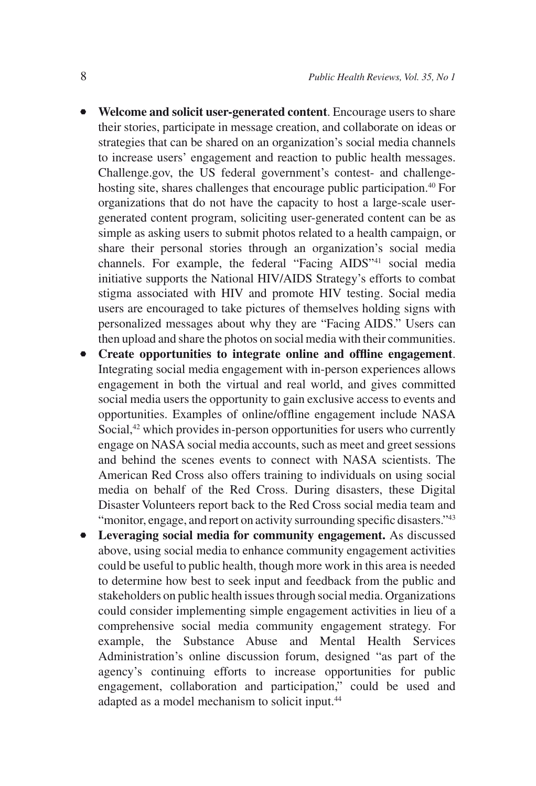- **Welcome and solicit user-generated content**. Encourage users to share their stories, participate in message creation, and collaborate on ideas or strategies that can be shared on an organization's social media channels to increase users' engagement and reaction to public health messages. Challenge.gov, the US federal government's contest- and challengehosting site, shares challenges that encourage public participation.<sup>40</sup> For organizations that do not have the capacity to host a large-scale usergenerated content program, soliciting user-generated content can be as simple as asking users to submit photos related to a health campaign, or share their personal stories through an organization's social media channels. For example, the federal "Facing AIDS"41 social media initiative supports the National HIV/AIDS Strategy's efforts to combat stigma associated with HIV and promote HIV testing. Social media users are encouraged to take pictures of themselves holding signs with personalized messages about why they are "Facing AIDS." Users can then upload and share the photos on social media with their communities.
- **Create opportunities to integrate online and offline engagement**. Integrating social media engagement with in-person experiences allows engagement in both the virtual and real world, and gives committed social media users the opportunity to gain exclusive access to events and opportunities. Examples of online/offline engagement include NASA Social,<sup>42</sup> which provides in-person opportunities for users who currently engage on NASA social media accounts, such as meet and greet sessions and behind the scenes events to connect with NASA scientists. The American Red Cross also offers training to individuals on using social media on behalf of the Red Cross. During disasters, these Digital Disaster Volunteers report back to the Red Cross social media team and "monitor, engage, and report on activity surrounding specific disasters."43
- **Leveraging social media for community engagement.** As discussed above, using social media to enhance community engagement activities could be useful to public health, though more work in this area is needed to determine how best to seek input and feedback from the public and stakeholders on public health issues through social media. Organizations could consider implementing simple engagement activities in lieu of a comprehensive social media community engagement strategy. For example, the Substance Abuse and Mental Health Services Administration's online discussion forum, designed "as part of the agency's continuing efforts to increase opportunities for public engagement, collaboration and participation," could be used and adapted as a model mechanism to solicit input.<sup>44</sup>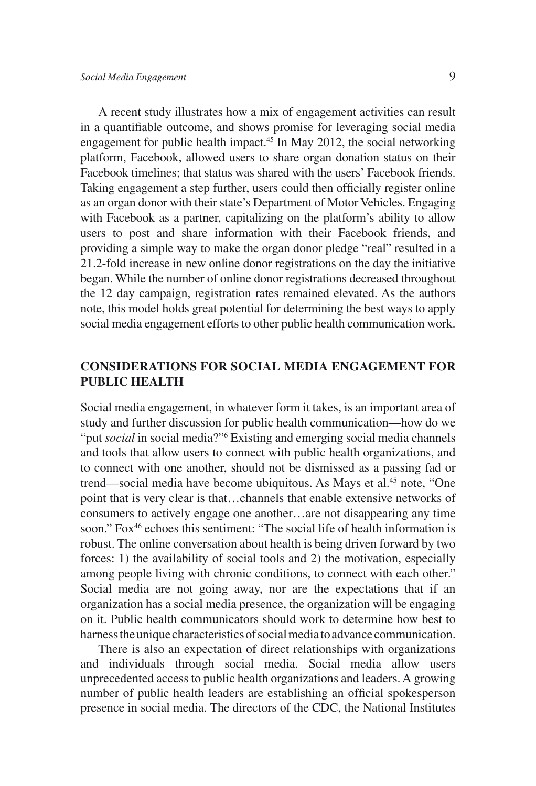A recent study illustrates how a mix of engagement activities can result in a quantifiable outcome, and shows promise for leveraging social media engagement for public health impact.<sup>45</sup> In May 2012, the social networking platform, Facebook, allowed users to share organ donation status on their Facebook timelines; that status was shared with the users' Facebook friends. Taking engagement a step further, users could then officially register online as an organ donor with their state's Department of Motor Vehicles. Engaging with Facebook as a partner, capitalizing on the platform's ability to allow users to post and share information with their Facebook friends, and providing a simple way to make the organ donor pledge "real" resulted in a 21.2-fold increase in new online donor registrations on the day the initiative began. While the number of online donor registrations decreased throughout the 12 day campaign, registration rates remained elevated. As the authors note, this model holds great potential for determining the best ways to apply social media engagement efforts to other public health communication work.

### **CONSIDERATIONS FOR SOCIAL MEDIA ENGAGEMENT FOR PUBLIC HEALTH**

Social media engagement, in whatever form it takes, is an important area of study and further discussion for public health communication—how do we "put *social* in social media?"6 Existing and emerging social media channels and tools that allow users to connect with public health organizations, and to connect with one another, should not be dismissed as a passing fad or trend—social media have become ubiquitous. As Mays et al.<sup>45</sup> note, "One point that is very clear is that…channels that enable extensive networks of consumers to actively engage one another…are not disappearing any time soon." Fox<sup>46</sup> echoes this sentiment: "The social life of health information is robust. The online conversation about health is being driven forward by two forces: 1) the availability of social tools and 2) the motivation, especially among people living with chronic conditions, to connect with each other." Social media are not going away, nor are the expectations that if an organization has a social media presence, the organization will be engaging on it. Public health communicators should work to determine how best to harness the unique characteristics of social media to advance communication.

There is also an expectation of direct relationships with organizations and individuals through social media. Social media allow users unprecedented access to public health organizations and leaders. A growing number of public health leaders are establishing an official spokesperson presence in social media. The directors of the CDC, the National Institutes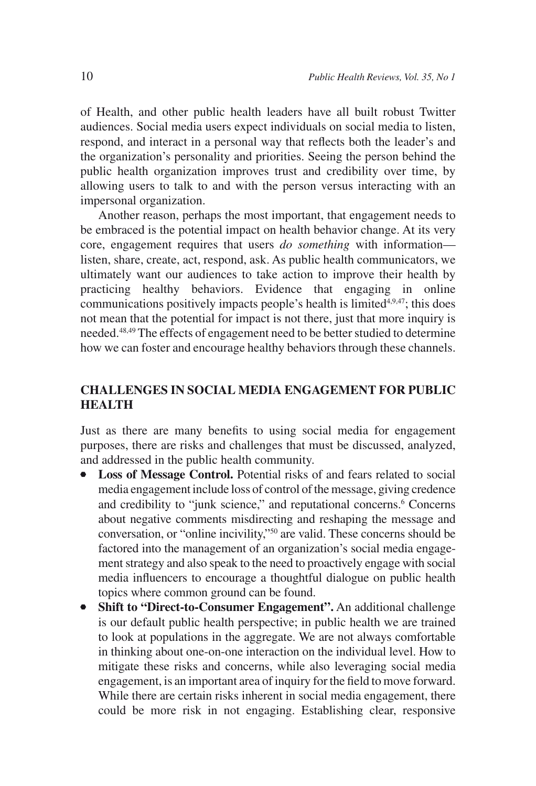of Health, and other public health leaders have all built robust Twitter audiences. Social media users expect individuals on social media to listen, respond, and interact in a personal way that reflects both the leader's and the organization's personality and priorities. Seeing the person behind the public health organization improves trust and credibility over time, by allowing users to talk to and with the person versus interacting with an impersonal organization.

Another reason, perhaps the most important, that engagement needs to be embraced is the potential impact on health behavior change. At its very core, engagement requires that users *do something* with information listen, share, create, act, respond, ask. As public health communicators, we ultimately want our audiences to take action to improve their health by practicing healthy behaviors. Evidence that engaging in online communications positively impacts people's health is limited $4,9,47$ ; this does not mean that the potential for impact is not there, just that more inquiry is needed.48,49 The effects of engagement need to be better studied to determine how we can foster and encourage healthy behaviors through these channels.

### **CHALLENGES IN SOCIAL MEDIA ENGAGEMENT FOR PUBLIC HEALTH**

Just as there are many benefits to using social media for engagement purposes, there are risks and challenges that must be discussed, analyzed, and addressed in the public health community.

- Loss of Message Control. Potential risks of and fears related to social media engagement include loss of control of the message, giving credence and credibility to "junk science," and reputational concerns.<sup>6</sup> Concerns about negative comments misdirecting and reshaping the message and conversation, or "online incivility,"50 are valid. These concerns should be factored into the management of an organization's social media engagement strategy and also speak to the need to proactively engage with social media influencers to encourage a thoughtful dialogue on public health topics where common ground can be found.
- **Shift to "Direct-to-Consumer Engagement".** An additional challenge is our default public health perspective; in public health we are trained to look at populations in the aggregate. We are not always comfortable in thinking about one-on-one interaction on the individual level. How to mitigate these risks and concerns, while also leveraging social media engagement, is an important area of inquiry for the field to move forward. While there are certain risks inherent in social media engagement, there could be more risk in not engaging. Establishing clear, responsive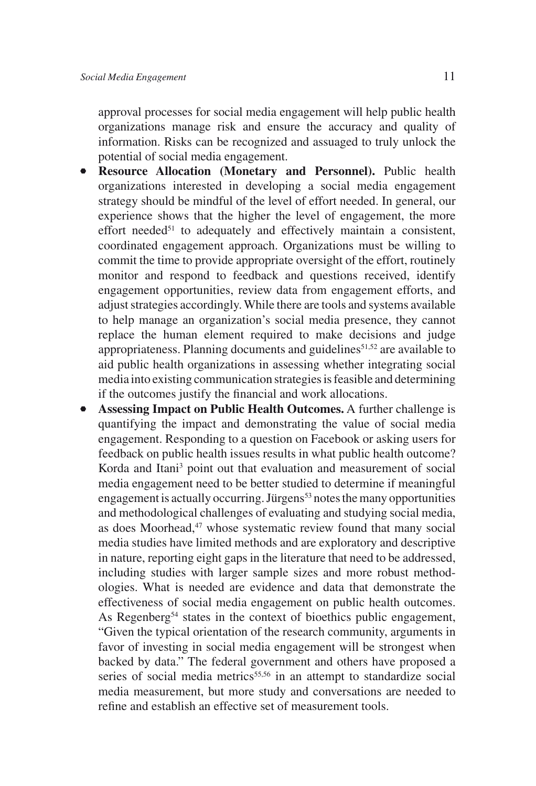approval processes for social media engagement will help public health organizations manage risk and ensure the accuracy and quality of information. Risks can be recognized and assuaged to truly unlock the potential of social media engagement.

- **Resource Allocation (Monetary and Personnel).** Public health organizations interested in developing a social media engagement strategy should be mindful of the level of effort needed. In general, our experience shows that the higher the level of engagement, the more effort needed<sup>51</sup> to adequately and effectively maintain a consistent, coordinated engagement approach. Organizations must be willing to commit the time to provide appropriate oversight of the effort, routinely monitor and respond to feedback and questions received, identify engagement opportunities, review data from engagement efforts, and adjust strategies accordingly. While there are tools and systems available to help manage an organization's social media presence, they cannot replace the human element required to make decisions and judge appropriateness. Planning documents and guidelines $51,52$  are available to aid public health organizations in assessing whether integrating social media into existing communication strategies is feasible and determining if the outcomes justify the financial and work allocations.
- **Assessing Impact on Public Health Outcomes.** A further challenge is quantifying the impact and demonstrating the value of social media engagement. Responding to a question on Facebook or asking users for feedback on public health issues results in what public health outcome? Korda and Itani<sup>3</sup> point out that evaluation and measurement of social media engagement need to be better studied to determine if meaningful engagement is actually occurring. Jürgens<sup>53</sup> notes the many opportunities and methodological challenges of evaluating and studying social media, as does Moorhead,<sup>47</sup> whose systematic review found that many social media studies have limited methods and are exploratory and descriptive in nature, reporting eight gaps in the literature that need to be addressed, including studies with larger sample sizes and more robust methodologies. What is needed are evidence and data that demonstrate the effectiveness of social media engagement on public health outcomes. As Regenberg<sup>54</sup> states in the context of bioethics public engagement, "Given the typical orientation of the research community, arguments in favor of investing in social media engagement will be strongest when backed by data." The federal government and others have proposed a series of social media metrics<sup>55,56</sup> in an attempt to standardize social media measurement, but more study and conversations are needed to refine and establish an effective set of measurement tools.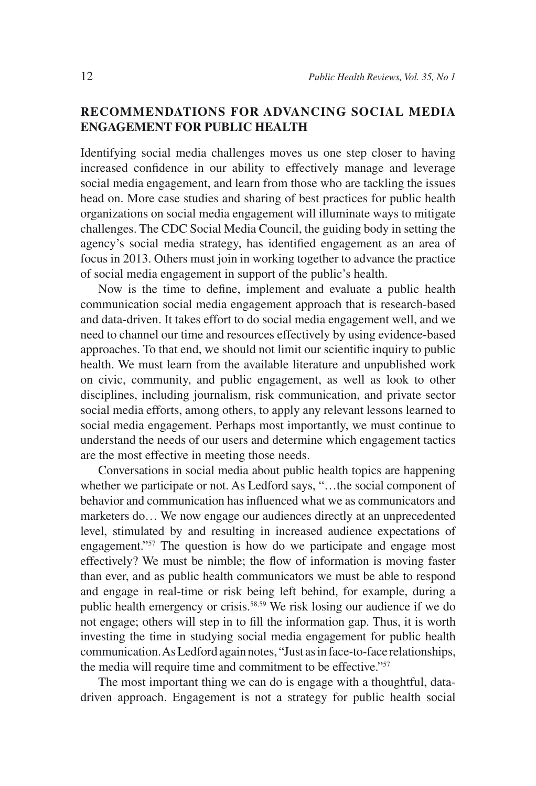### **RECOMMENDATIONS FOR ADVANCING SOCIAL MEDIA ENGAGEMENT FOR PUBLIC HEALTH**

Identifying social media challenges moves us one step closer to having increased confidence in our ability to effectively manage and leverage social media engagement, and learn from those who are tackling the issues head on. More case studies and sharing of best practices for public health organizations on social media engagement will illuminate ways to mitigate challenges. The CDC Social Media Council, the guiding body in setting the agency's social media strategy, has identified engagement as an area of focus in 2013. Others must join in working together to advance the practice of social media engagement in support of the public's health.

Now is the time to define, implement and evaluate a public health communication social media engagement approach that is research-based and data-driven. It takes effort to do social media engagement well, and we need to channel our time and resources effectively by using evidence-based approaches. To that end, we should not limit our scientific inquiry to public health. We must learn from the available literature and unpublished work on civic, community, and public engagement, as well as look to other disciplines, including journalism, risk communication, and private sector social media efforts, among others, to apply any relevant lessons learned to social media engagement. Perhaps most importantly, we must continue to understand the needs of our users and determine which engagement tactics are the most effective in meeting those needs.

Conversations in social media about public health topics are happening whether we participate or not. As Ledford says, "...the social component of behavior and communication has influenced what we as communicators and marketers do… We now engage our audiences directly at an unprecedented level, stimulated by and resulting in increased audience expectations of engagement."57 The question is how do we participate and engage most effectively? We must be nimble; the flow of information is moving faster than ever, and as public health communicators we must be able to respond and engage in real-time or risk being left behind, for example, during a public health emergency or crisis.<sup>58,59</sup> We risk losing our audience if we do not engage; others will step in to fill the information gap. Thus, it is worth investing the time in studying social media engagement for public health communication. As Ledford again notes, "Just as in face-to-face relationships, the media will require time and commitment to be effective."57

The most important thing we can do is engage with a thoughtful, datadriven approach. Engagement is not a strategy for public health social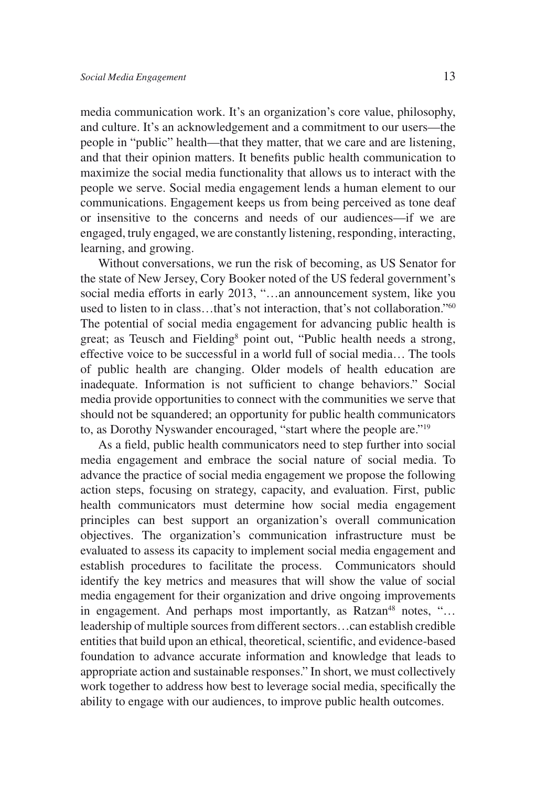media communication work. It's an organization's core value, philosophy, and culture. It's an acknowledgement and a commitment to our users—the people in "public" health—that they matter, that we care and are listening, and that their opinion matters. It benefits public health communication to maximize the social media functionality that allows us to interact with the people we serve. Social media engagement lends a human element to our communications. Engagement keeps us from being perceived as tone deaf or insensitive to the concerns and needs of our audiences—if we are engaged, truly engaged, we are constantly listening, responding, interacting, learning, and growing.

Without conversations, we run the risk of becoming, as US Senator for the state of New Jersey, Cory Booker noted of the US federal government's social media efforts in early 2013, "...an announcement system, like you used to listen to in class...that's not interaction, that's not collaboration."<sup>60</sup> The potential of social media engagement for advancing public health is great; as Teusch and Fielding<sup>8</sup> point out, "Public health needs a strong, effective voice to be successful in a world full of social media… The tools of public health are changing. Older models of health education are inadequate. Information is not sufficient to change behaviors." Social media provide opportunities to connect with the communities we serve that should not be squandered; an opportunity for public health communicators to, as Dorothy Nyswander encouraged, "start where the people are."19

As a field, public health communicators need to step further into social media engagement and embrace the social nature of social media. To advance the practice of social media engagement we propose the following action steps, focusing on strategy, capacity, and evaluation. First, public health communicators must determine how social media engagement principles can best support an organization's overall communication objectives. The organization's communication infrastructure must be evaluated to assess its capacity to implement social media engagement and establish procedures to facilitate the process. Communicators should identify the key metrics and measures that will show the value of social media engagement for their organization and drive ongoing improvements in engagement. And perhaps most importantly, as Ratzan<sup>48</sup> notes, "... leadership of multiple sources from different sectors…can establish credible entities that build upon an ethical, theoretical, scientific, and evidence-based foundation to advance accurate information and knowledge that leads to appropriate action and sustainable responses." In short, we must collectively work together to address how best to leverage social media, specifically the ability to engage with our audiences, to improve public health outcomes.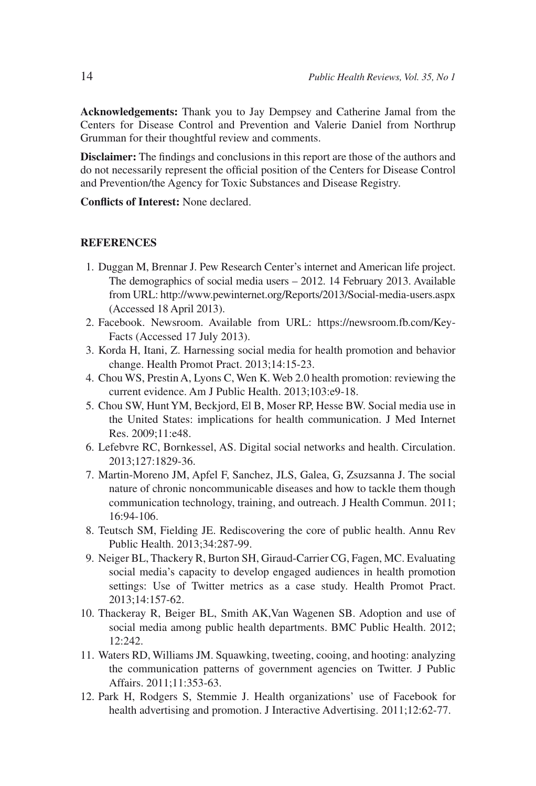**Acknowledgements:** Thank you to Jay Dempsey and Catherine Jamal from the Centers for Disease Control and Prevention and Valerie Daniel from Northrup Grumman for their thoughtful review and comments.

**Disclaimer:** The findings and conclusions in this report are those of the authors and do not necessarily represent the official position of the Centers for Disease Control and Prevention/the Agency for Toxic Substances and Disease Registry.

**Conflicts of Interest:** None declared.

#### **REFERENCES**

- 1. Duggan M, Brennar J. Pew Research Center's internet and American life project. The demographics of social media users – 2012. 14 February 2013. Available from URL: http://www.pewinternet.org/Reports/2013/Social-media-users.aspx (Accessed 18 April 2013).
- 2. Facebook. Newsroom. Available from URL: https://newsroom.fb.com/Key-Facts (Accessed 17 July 2013).
- 3. Korda H, Itani, Z. Harnessing social media for health promotion and behavior change. Health Promot Pract. 2013;14:15-23.
- 4. Chou WS, Prestin A, Lyons C, Wen K. Web 2.0 health promotion: reviewing the current evidence. Am J Public Health. 2013;103:e9-18.
- 5. Chou SW, Hunt YM, Beckjord, El B, Moser RP, Hesse BW. Social media use in the United States: implications for health communication. J Med Internet Res. 2009;11:e48.
- 6. Lefebvre RC, Bornkessel, AS. Digital social networks and health. Circulation. 2013;127:1829-36.
- 7. Martin-Moreno JM, Apfel F, Sanchez, JLS, Galea, G, Zsuzsanna J. The social nature of chronic noncommunicable diseases and how to tackle them though communication technology, training, and outreach. J Health Commun. 2011; 16:94-106.
- 8. Teutsch SM, Fielding JE. Rediscovering the core of public health. Annu Rev Public Health. 2013;34:287-99.
- 9. Neiger BL, Thackery R, Burton SH, Giraud-Carrier CG, Fagen, MC. Evaluating social media's capacity to develop engaged audiences in health promotion settings: Use of Twitter metrics as a case study. Health Promot Pract. 2013;14:157-62.
- 10. Thackeray R, Beiger BL, Smith AK,Van Wagenen SB. Adoption and use of social media among public health departments. BMC Public Health. 2012; 12:242.
- 11. Waters RD, Williams JM. Squawking, tweeting, cooing, and hooting: analyzing the communication patterns of government agencies on Twitter. J Public Affairs. 2011;11:353-63.
- 12. Park H, Rodgers S, Stemmie J. Health organizations' use of Facebook for health advertising and promotion. J Interactive Advertising. 2011;12:62-77.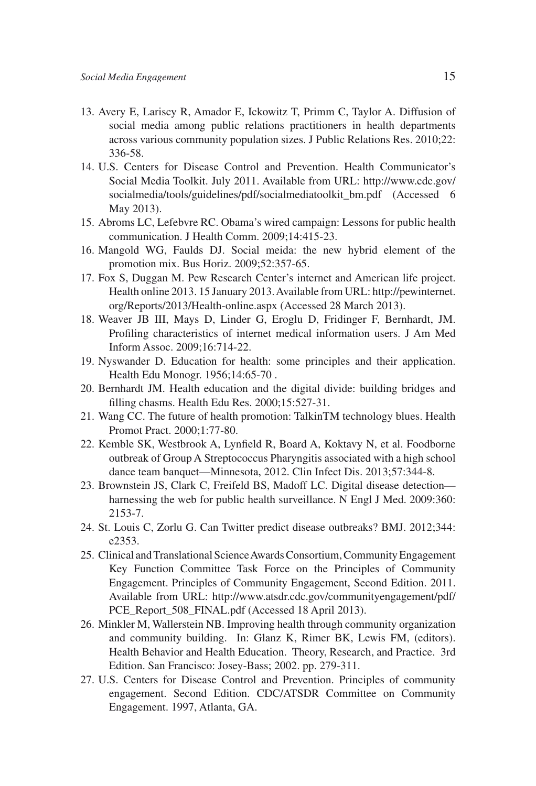- 13. Avery E, Lariscy R, Amador E, Ickowitz T, Primm C, Taylor A. Diffusion of social media among public relations practitioners in health departments across various community population sizes. J Public Relations Res. 2010;22: 336-58.
- 14. U.S. Centers for Disease Control and Prevention. Health Communicator's Social Media Toolkit. July 2011. Available from URL: http://www.cdc.gov/ socialmedia/tools/guidelines/pdf/socialmediatoolkit\_bm.pdf (Accessed 6 May 2013).
- 15. Abroms LC, Lefebvre RC. Obama's wired campaign: Lessons for public health communication. J Health Comm. 2009;14:415-23.
- 16. Mangold WG, Faulds DJ. Social meida: the new hybrid element of the promotion mix. Bus Horiz. 2009;52:357-65.
- 17. Fox S, Duggan M. Pew Research Center's internet and American life project. Health online 2013. 15 January 2013. Available from URL: http://pewinternet. org/Reports/2013/Health-online.aspx (Accessed 28 March 2013).
- 18. Weaver JB III, Mays D, Linder G, Eroglu D, Fridinger F, Bernhardt, JM. Profiling characteristics of internet medical information users. J Am Med Inform Assoc. 2009;16:714-22.
- 19. Nyswander D. Education for health: some principles and their application. Health Edu Monogr. 1956;14:65-70 .
- 20. Bernhardt JM. Health education and the digital divide: building bridges and filling chasms. Health Edu Res. 2000;15:527-31.
- 21. Wang CC. The future of health promotion: TalkinTM technology blues. Health Promot Pract. 2000;1:77-80.
- 22. Kemble SK, Westbrook A, Lynfield R, Board A, Koktavy N, et al. Foodborne outbreak of Group A Streptococcus Pharyngitis associated with a high school dance team banquet—Minnesota, 2012. Clin Infect Dis. 2013;57:344-8.
- 23. Brownstein JS, Clark C, Freifeld BS, Madoff LC. Digital disease detection harnessing the web for public health surveillance. N Engl J Med. 2009:360: 2153-7.
- 24. St. Louis C, Zorlu G. Can Twitter predict disease outbreaks? BMJ. 2012;344: e2353.
- 25. Clinical and Translational Science Awards Consortium, Community Engagement Key Function Committee Task Force on the Principles of Community Engagement. Principles of Community Engagement, Second Edition. 2011. Available from URL: http://www.atsdr.cdc.gov/communityengagement/pdf/ PCE\_Report\_508\_FINAL.pdf (Accessed 18 April 2013).
- 26. Minkler M, Wallerstein NB. Improving health through community organization and community building. In: Glanz K, Rimer BK, Lewis FM, (editors). Health Behavior and Health Education. Theory, Research, and Practice. 3rd Edition. San Francisco: Josey-Bass; 2002. pp. 279-311.
- 27. U.S. Centers for Disease Control and Prevention. Principles of community engagement. Second Edition. CDC/ATSDR Committee on Community Engagement. 1997, Atlanta, GA.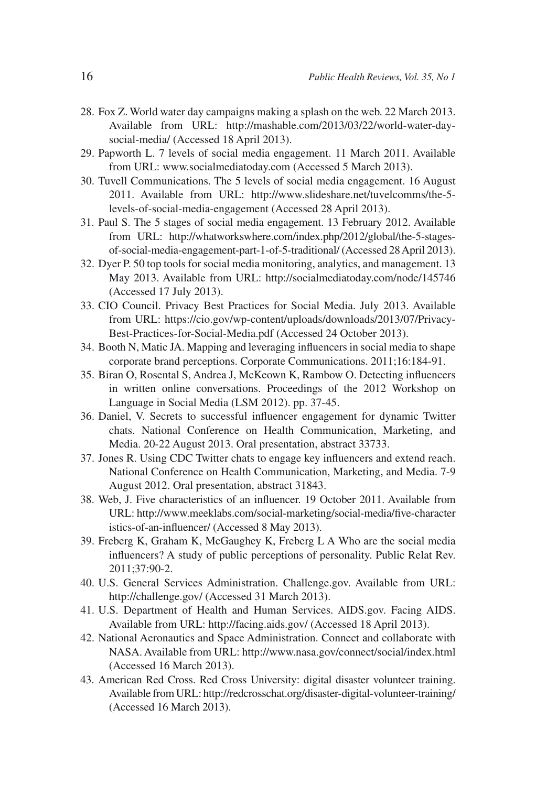- 28. Fox Z. World water day campaigns making a splash on the web. 22 March 2013. Available from URL: http://mashable.com/2013/03/22/world-water-daysocial-media/ (Accessed 18 April 2013).
- 29. Papworth L. 7 levels of social media engagement. 11 March 2011. Available from URL: www.socialmediatoday.com (Accessed 5 March 2013).
- 30. Tuvell Communications. The 5 levels of social media engagement. 16 August 2011. Available from URL: http://www.slideshare.net/tuvelcomms/the-5 levels-of-social-media-engagement (Accessed 28 April 2013).
- 31. Paul S. The 5 stages of social media engagement. 13 February 2012. Available from URL: http://whatworkswhere.com/index.php/2012/global/the-5-stagesof-social-media-engagement-part-1-of-5-traditional/ (Accessed 28 April 2013).
- 32. Dyer P. 50 top tools for social media monitoring, analytics, and management. 13 May 2013. Available from URL: http://socialmediatoday.com/node/145746 (Accessed 17 July 2013).
- 33. CIO Council. Privacy Best Practices for Social Media. July 2013. Available from URL: https://cio.gov/wp-content/uploads/downloads/2013/07/Privacy-Best-Practices-for-Social-Media.pdf (Accessed 24 October 2013).
- 34. Booth N, Matic JA. Mapping and leveraging influencers in social media to shape corporate brand perceptions. Corporate Communications. 2011;16:184-91.
- 35. Biran O, Rosental S, Andrea J, McKeown K, Rambow O. Detecting influencers in written online conversations. Proceedings of the 2012 Workshop on Language in Social Media (LSM 2012). pp. 37-45.
- 36. Daniel, V. Secrets to successful influencer engagement for dynamic Twitter chats. National Conference on Health Communication, Marketing, and Media. 20-22 August 2013. Oral presentation, abstract 33733.
- 37. Jones R. Using CDC Twitter chats to engage key influencers and extend reach. National Conference on Health Communication, Marketing, and Media. 7-9 August 2012. Oral presentation, abstract 31843.
- 38. Web, J. Five characteristics of an influencer. 19 October 2011. Available from URL: http://www.meeklabs.com/social-marketing/social-media/five-character istics-of-an-influencer/ (Accessed 8 May 2013).
- 39. Freberg K, Graham K, McGaughey K, Freberg L A Who are the social media influencers? A study of public perceptions of personality. Public Relat Rev. 2011;37:90-2.
- 40. U.S. General Services Administration. Challenge.gov. Available from URL: http://challenge.gov/ (Accessed 31 March 2013).
- 41. U.S. Department of Health and Human Services. AIDS.gov. Facing AIDS. Available from URL: http://facing.aids.gov/ (Accessed 18 April 2013).
- 42. National Aeronautics and Space Administration. Connect and collaborate with NASA. Available from URL: http://www.nasa.gov/connect/social/index.html (Accessed 16 March 2013).
- 43. American Red Cross. Red Cross University: digital disaster volunteer training. Available from URL: http://redcrosschat.org/disaster-digital-volunteer-training/ (Accessed 16 March 2013).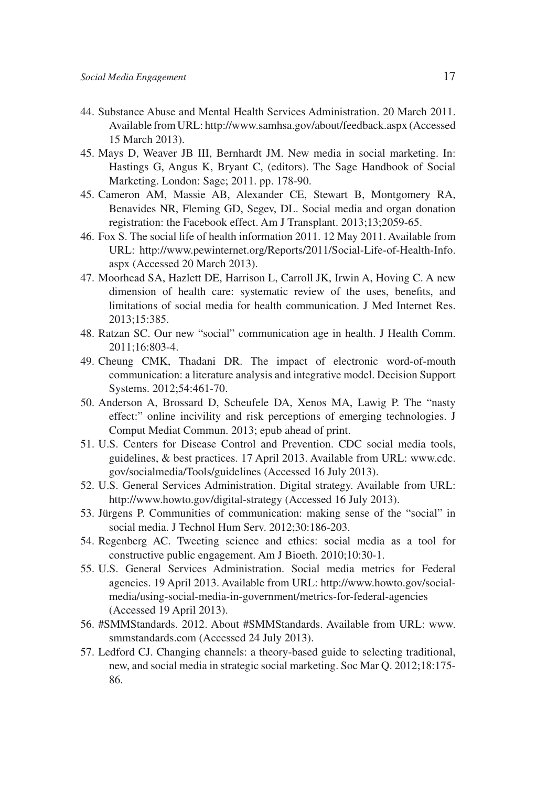- 44. Substance Abuse and Mental Health Services Administration. 20 March 2011. Available from URL: http://www.samhsa.gov/about/feedback.aspx (Accessed 15 March 2013).
- 45. Mays D, Weaver JB III, Bernhardt JM. New media in social marketing. In: Hastings G, Angus K, Bryant C, (editors). The Sage Handbook of Social Marketing. London: Sage; 2011. pp. 178-90.
- 45. Cameron AM, Massie AB, Alexander CE, Stewart B, Montgomery RA, Benavides NR, Fleming GD, Segev, DL. Social media and organ donation registration: the Facebook effect. Am J Transplant. 2013;13;2059-65.
- 46. Fox S. The social life of health information 2011. 12 May 2011. Available from URL: http://www.pewinternet.org/Reports/2011/Social-Life-of-Health-Info. aspx (Accessed 20 March 2013).
- 47. Moorhead SA, Hazlett DE, Harrison L, Carroll JK, Irwin A, Hoving C. A new dimension of health care: systematic review of the uses, benefits, and limitations of social media for health communication. J Med Internet Res. 2013;15:385.
- 48. Ratzan SC. Our new "social" communication age in health. J Health Comm. 2011;16:803-4.
- 49. Cheung CMK, Thadani DR. The impact of electronic word-of-mouth communication: a literature analysis and integrative model. Decision Support Systems. 2012;54:461-70.
- 50. Anderson A, Brossard D, Scheufele DA, Xenos MA, Lawig P. The "nasty effect:" online incivility and risk perceptions of emerging technologies. J Comput Mediat Commun. 2013; epub ahead of print.
- 51. U.S. Centers for Disease Control and Prevention. CDC social media tools, guidelines, & best practices. 17 April 2013. Available from URL: www.cdc. gov/socialmedia/Tools/guidelines (Accessed 16 July 2013).
- 52. U.S. General Services Administration. Digital strategy. Available from URL: http://www.howto.gov/digital-strategy (Accessed 16 July 2013).
- 53. Jürgens P. Communities of communication: making sense of the "social" in social media. J Technol Hum Serv. 2012;30:186-203.
- 54. Regenberg AC. Tweeting science and ethics: social media as a tool for constructive public engagement. Am J Bioeth. 2010;10:30-1.
- 55. U.S. General Services Administration. Social media metrics for Federal agencies. 19 April 2013. Available from URL: http://www.howto.gov/socialmedia/using-social-media-in-government/metrics-for-federal-agencies (Accessed 19 April 2013).
- 56. #SMMStandards. 2012. About #SMMStandards. Available from URL: www. smmstandards.com (Accessed 24 July 2013).
- 57. Ledford CJ. Changing channels: a theory-based guide to selecting traditional, new, and social media in strategic social marketing. Soc Mar Q. 2012;18:175- 86.